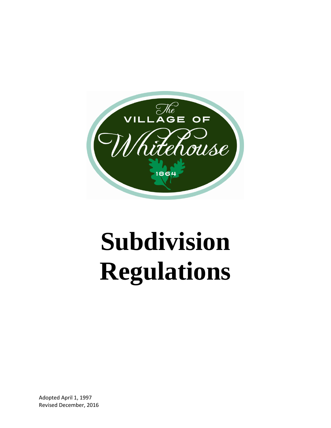

# **Subdivision Regulations**

Adopted April 1, 1997 Revised December, 2016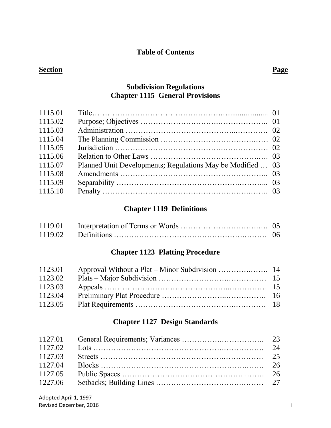## **Table of Contents**

## **Section Page**

## **Subdivision Regulations Chapter 1115 General Provisions**

| 1115.01 |                                                            |  |
|---------|------------------------------------------------------------|--|
| 1115.02 |                                                            |  |
| 1115.03 |                                                            |  |
| 1115.04 |                                                            |  |
| 1115.05 |                                                            |  |
| 1115.06 |                                                            |  |
| 1115.07 | Planned Unit Developments; Regulations May be Modified  03 |  |
| 1115.08 |                                                            |  |
| 1115.09 |                                                            |  |
| 1115.10 |                                                            |  |
|         |                                                            |  |

## **Chapter 1119 Definitions**

## **Chapter 1123 Platting Procedure**

| 1123.01 |  |
|---------|--|
| 1123.02 |  |
| 1123.03 |  |
| 1123.04 |  |
| 1123.05 |  |

## **Chapter 1127 Design Standards**

| 1127.04 |  |
|---------|--|
|         |  |
|         |  |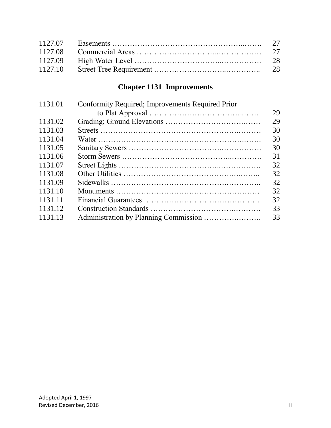## **Chapter 1131 Improvements**

| 1131.01 | Conformity Required; Improvements Required Prior |    |
|---------|--------------------------------------------------|----|
|         |                                                  | 29 |
| 1131.02 |                                                  | 29 |
| 1131.03 |                                                  | 30 |
| 1131.04 |                                                  | 30 |
| 1131.05 |                                                  | 30 |
| 1131.06 |                                                  | 31 |
| 1131.07 |                                                  | 32 |
| 1131.08 |                                                  | 32 |
| 1131.09 |                                                  | 32 |
| 1131.10 |                                                  | 32 |
| 1131.11 |                                                  | 32 |
| 1131.12 |                                                  | 33 |
| 1131.13 |                                                  | 33 |
|         |                                                  |    |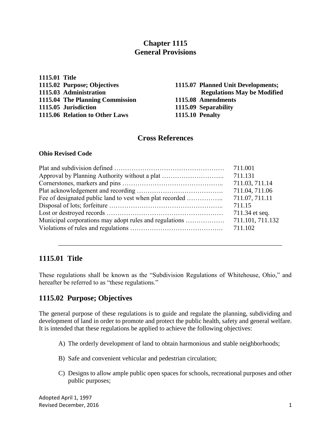## **Chapter 1115 General Provisions**

**1115.01 Title 1115.04 The Planning Commission 1115.08 Amendments 1115.05 Jurisdiction 1115.09 Separability 1115.06 Relation to Other Laws 1115.10 Penalty**

## **1115.02 Purpose; Objectives 1115.07 Planned Unit Developments; 1115.03 Administration Regulations May be Modified**

## **Cross References**

#### **Ohio Revised Code**

| 711.001          |
|------------------|
|                  |
| 711.03, 711.14   |
| 711.04, 711.06   |
| 711.07, 711.11   |
| 711.15           |
| 711.34 et seq.   |
| 711.101, 711.132 |
|                  |
|                  |

## **1115.01 Title**

These regulations shall be known as the "Subdivision Regulations of Whitehouse, Ohio," and hereafter be referred to as "these regulations."

\_\_\_\_\_\_\_\_\_\_\_\_\_\_\_\_\_\_\_\_\_\_\_\_\_\_\_\_\_\_\_\_\_\_\_\_\_\_\_\_\_\_\_\_\_\_\_\_\_\_\_\_\_\_\_\_\_\_\_\_\_\_\_\_\_\_\_\_\_

## **1115.02 Purpose; Objectives**

The general purpose of these regulations is to guide and regulate the planning, subdividing and development of land in order to promote and protect the public health, safety and general welfare. It is intended that these regulations be applied to achieve the following objectives:

- A) The orderly development of land to obtain harmonious and stable neighborhoods;
- B) Safe and convenient vehicular and pedestrian circulation;
- C) Designs to allow ample public open spaces for schools, recreational purposes and other public purposes;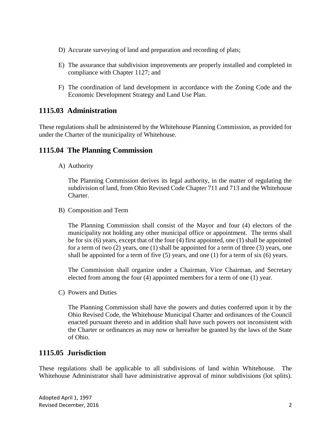- D) Accurate surveying of land and preparation and recording of plats;
- E) The assurance that subdivision improvements are properly installed and completed in compliance with Chapter 1127; and
- F) The coordination of land development in accordance with the Zoning Code and the Economic Development Strategy and Land Use Plan.

## **1115.03 Administration**

These regulations shall be administered by the Whitehouse Planning Commission, as provided for under the Charter of the municipality of Whitehouse.

## **1115.04 The Planning Commission**

A) Authority

The Planning Commission derives its legal authority, in the matter of regulating the subdivision of land, from Ohio Revised Code Chapter 711 and 713 and the Whitehouse Charter.

B) Composition and Term

The Planning Commission shall consist of the Mayor and four (4) electors of the municipality not holding any other municipal office or appointment. The terms shall be for six (6) years, except that of the four (4) first appointed, one (1) shall be appointed for a term of two (2) years, one (1) shall be appointed for a term of three (3) years, one shall be appointed for a term of five  $(5)$  years, and one  $(1)$  for a term of six  $(6)$  years.

The Commission shall organize under a Chairman, Vice Chairman, and Secretary elected from among the four (4) appointed members for a term of one (1) year.

C) Powers and Duties

The Planning Commission shall have the powers and duties conferred upon it by the Ohio Revised Code, the Whitehouse Municipal Charter and ordinances of the Council enacted pursuant thereto and in addition shall have such powers not inconsistent with the Charter or ordinances as may now or hereafter be granted by the laws of the State of Ohio.

## **1115.05 Jurisdiction**

These regulations shall be applicable to all subdivisions of land within Whitehouse. The Whitehouse Administrator shall have administrative approval of minor subdivisions (lot splits).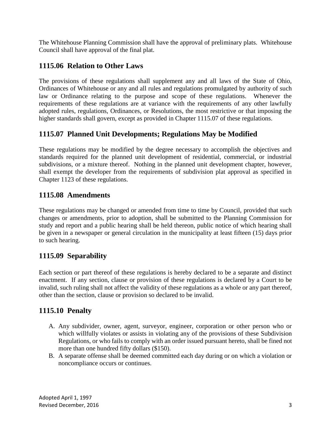The Whitehouse Planning Commission shall have the approval of preliminary plats. Whitehouse Council shall have approval of the final plat.

## **1115.06 Relation to Other Laws**

The provisions of these regulations shall supplement any and all laws of the State of Ohio, Ordinances of Whitehouse or any and all rules and regulations promulgated by authority of such law or Ordinance relating to the purpose and scope of these regulations. Whenever the requirements of these regulations are at variance with the requirements of any other lawfully adopted rules, regulations, Ordinances, or Resolutions, the most restrictive or that imposing the higher standards shall govern, except as provided in Chapter 1115.07 of these regulations.

## **1115.07 Planned Unit Developments; Regulations May be Modified**

These regulations may be modified by the degree necessary to accomplish the objectives and standards required for the planned unit development of residential, commercial, or industrial subdivisions, or a mixture thereof. Nothing in the planned unit development chapter, however, shall exempt the developer from the requirements of subdivision plat approval as specified in Chapter 1123 of these regulations.

## **1115.08 Amendments**

These regulations may be changed or amended from time to time by Council, provided that such changes or amendments, prior to adoption, shall be submitted to the Planning Commission for study and report and a public hearing shall be held thereon, public notice of which hearing shall be given in a newspaper or general circulation in the municipality at least fifteen (15) days prior to such hearing.

## **1115.09 Separability**

Each section or part thereof of these regulations is hereby declared to be a separate and distinct enactment. If any section, clause or provision of these regulations is declared by a Court to be invalid, such ruling shall not affect the validity of these regulations as a whole or any part thereof, other than the section, clause or provision so declared to be invalid.

## **1115.10 Penalty**

- A. Any subdivider, owner, agent, surveyor, engineer, corporation or other person who or which willfully violates or assists in violating any of the provisions of these Subdivision Regulations, or who fails to comply with an order issued pursuant hereto, shall be fined not more than one hundred fifty dollars (\$150).
- B. A separate offense shall be deemed committed each day during or on which a violation or noncompliance occurs or continues.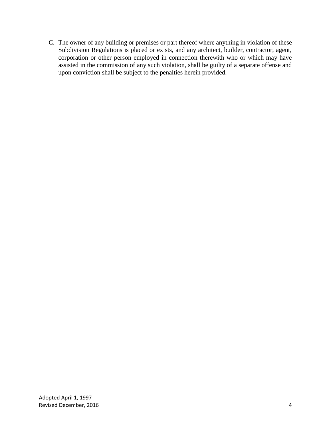C. The owner of any building or premises or part thereof where anything in violation of these Subdivision Regulations is placed or exists, and any architect, builder, contractor, agent, corporation or other person employed in connection therewith who or which may have assisted in the commission of any such violation, shall be guilty of a separate offense and upon conviction shall be subject to the penalties herein provided.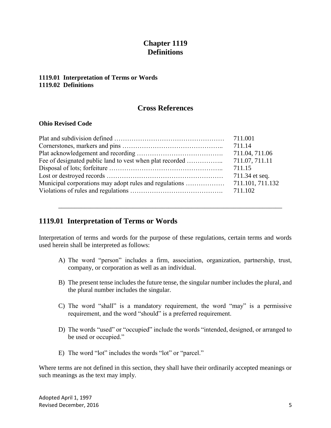## **Chapter 1119 Definitions**

#### **1119.01 Interpretation of Terms or Words 1119.02 Definitions**

## **Cross References**

#### **Ohio Revised Code**

| 711.04, 711.06   |
|------------------|
| 711.07, 711.11   |
| 711.15           |
| 711.34 et seq.   |
| 711.101, 711.132 |
|                  |

## **1119.01 Interpretation of Terms or Words**

Interpretation of terms and words for the purpose of these regulations, certain terms and words used herein shall be interpreted as follows:

\_\_\_\_\_\_\_\_\_\_\_\_\_\_\_\_\_\_\_\_\_\_\_\_\_\_\_\_\_\_\_\_\_\_\_\_\_\_\_\_\_\_\_\_\_\_\_\_\_\_\_\_\_\_\_\_\_\_\_\_\_\_\_\_\_\_\_\_\_

- A) The word "person" includes a firm, association, organization, partnership, trust, company, or corporation as well as an individual.
- B) The present tense includes the future tense, the singular number includes the plural, and the plural number includes the singular.
- C) The word "shall" is a mandatory requirement, the word "may" is a permissive requirement, and the word "should" is a preferred requirement.
- D) The words "used" or "occupied" include the words "intended, designed, or arranged to be used or occupied."
- E) The word "lot" includes the words "lot" or "parcel."

Where terms are not defined in this section, they shall have their ordinarily accepted meanings or such meanings as the text may imply.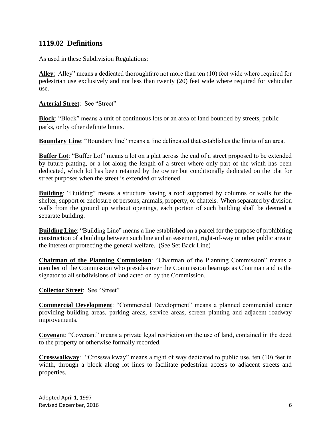## **1119.02 Definitions**

As used in these Subdivision Regulations:

**Alley**: Alley" means a dedicated thoroughfare not more than ten (10) feet wide where required for pedestrian use exclusively and not less than twenty (20) feet wide where required for vehicular use.

**Arterial Street**: See "Street"

**Block**: "Block" means a unit of continuous lots or an area of land bounded by streets, public parks, or by other definite limits.

**Boundary Line**: "Boundary line" means a line delineated that establishes the limits of an area.

**Buffer Lot**: "Buffer Lot" means a lot on a plat across the end of a street proposed to be extended by future platting, or a lot along the length of a street where only part of the width has been dedicated, which lot has been retained by the owner but conditionally dedicated on the plat for street purposes when the street is extended or widened.

**Building**: "Building" means a structure having a roof supported by columns or walls for the shelter, support or enclosure of persons, animals, property, or chattels. When separated by division walls from the ground up without openings, each portion of such building shall be deemed a separate building.

**Building Line**: "Building Line" means a line established on a parcel for the purpose of prohibiting construction of a building between such line and an easement, right-of-way or other public area in the interest or protecting the general welfare. (See Set Back Line)

**Chairman of the Planning Commission**: "Chairman of the Planning Commission" means a member of the Commission who presides over the Commission hearings as Chairman and is the signator to all subdivisions of land acted on by the Commission.

**Collector Street**: See "Street"

**Commercial Development**: "Commercial Development" means a planned commercial center providing building areas, parking areas, service areas, screen planting and adjacent roadway improvements.

**Covena**nt: "Covenant" means a private legal restriction on the use of land, contained in the deed to the property or otherwise formally recorded.

**Crosswalkway**: "Crosswalkway" means a right of way dedicated to public use, ten (10) feet in width, through a block along lot lines to facilitate pedestrian access to adjacent streets and properties.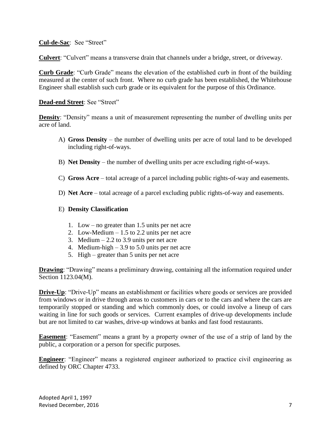**Cul-de-Sac**: See "Street"

**Culvert**: "Culvert" means a transverse drain that channels under a bridge, street, or driveway.

**Curb Grade**: "Curb Grade" means the elevation of the established curb in front of the building measured at the center of such front. Where no curb grade has been established, the Whitehouse Engineer shall establish such curb grade or its equivalent for the purpose of this Ordinance.

#### **Dead-end Street**: See "Street"

**Density**: "Density" means a unit of measurement representing the number of dwelling units per acre of land.

- A) **Gross Density** the number of dwelling units per acre of total land to be developed including right-of-ways.
- B) **Net Density** the number of dwelling units per acre excluding right-of-ways.
- C) **Gross Acre** total acreage of a parcel including public rights-of-way and easements.
- D) **Net Acre** total acreage of a parcel excluding public rights-of-way and easements.

#### E) **Density Classification**

- 1. Low no greater than 1.5 units per net acre
- 2. Low-Medium 1.5 to 2.2 units per net acre
- 3. Medium  $-2.2$  to 3.9 units per net acre
- 4. Medium-high 3.9 to 5.0 units per net acre
- 5. High greater than 5 units per net acre

**Drawing**: "Drawing" means a preliminary drawing, containing all the information required under Section 1123.04(M).

**Drive-Up**: "Drive-Up" means an establishment or facilities where goods or services are provided from windows or in drive through areas to customers in cars or to the cars and where the cars are temporarily stopped or standing and which commonly does, or could involve a lineup of cars waiting in line for such goods or services. Current examples of drive-up developments include but are not limited to car washes, drive-up windows at banks and fast food restaurants.

**Easement**: "Easement" means a grant by a property owner of the use of a strip of land by the public, a corporation or a person for specific purposes.

**Engineer**: "Engineer" means a registered engineer authorized to practice civil engineering as defined by ORC Chapter 4733.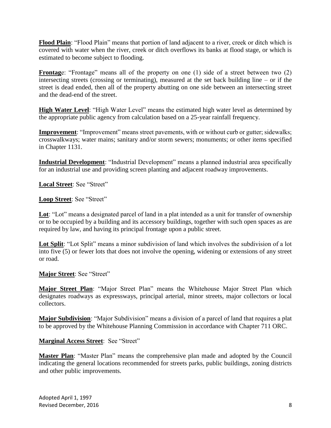**Flood Plain**: "Flood Plain" means that portion of land adjacent to a river, creek or ditch which is covered with water when the river, creek or ditch overflows its banks at flood stage, or which is estimated to become subject to flooding.

**Frontage:** "Frontage" means all of the property on one (1) side of a street between two (2) intersecting streets (crossing or terminating), measured at the set back building line – or if the street is dead ended, then all of the property abutting on one side between an intersecting street and the dead-end of the street.

**High Water Level**: "High Water Level" means the estimated high water level as determined by the appropriate public agency from calculation based on a 25-year rainfall frequency.

**Improvement**: "Improvement" means street pavements, with or without curb or gutter; sidewalks; crosswalkways; water mains; sanitary and/or storm sewers; monuments; or other items specified in Chapter 1131.

**Industrial Development**: "Industrial Development" means a planned industrial area specifically for an industrial use and providing screen planting and adjacent roadway improvements.

**Local Street**: See "Street"

**Loop Street**: See "Street"

Lot: "Lot" means a designated parcel of land in a plat intended as a unit for transfer of ownership or to be occupied by a building and its accessory buildings, together with such open spaces as are required by law, and having its principal frontage upon a public street.

Lot Split: "Lot Split" means a minor subdivision of land which involves the subdivision of a lot into five (5) or fewer lots that does not involve the opening, widening or extensions of any street or road.

**Major Street**: See "Street"

**Major Street Plan**: "Major Street Plan" means the Whitehouse Major Street Plan which designates roadways as expressways, principal arterial, minor streets, major collectors or local collectors.

**Major Subdivision**: "Major Subdivision" means a division of a parcel of land that requires a plat to be approved by the Whitehouse Planning Commission in accordance with Chapter 711 ORC.

**Marginal Access Street**: See "Street"

**Master Plan**: "Master Plan" means the comprehensive plan made and adopted by the Council indicating the general locations recommended for streets parks, public buildings, zoning districts and other public improvements.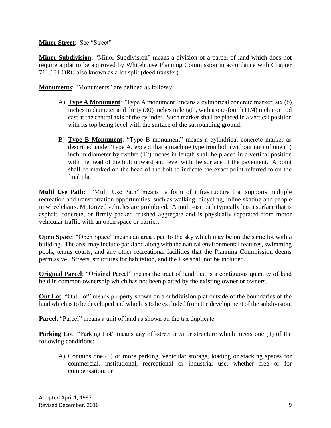#### **Minor Street**: See "Street"

**Minor Subdivision**: "Minor Subdivision" means a division of a parcel of land which does not require a plat to be approved by Whitehouse Planning Commission in accordance with Chapter 711.131 ORC also known as a lot split (deed transfer).

**Monuments:** "Monuments" are defined as follows:

- A) **Type A Monument**: "Type A monument" means a cylindrical concrete marker, six (6) inches in diameter and thirty (30) inches in length, with a one-fourth (1/4) inch iron rod cast at the central axis of the cylinder. Such marker shall be placed in a vertical position with its top being level with the surface of the surrounding ground.
- B) **Type B Monument**: "Type B monument" means a cylindrical concrete marker as described under Type A, except that a machine type iron bolt (without nut) of one (1) inch in diameter by twelve (12) inches in length shall be placed in a vertical position with the head of the bolt upward and level with the surface of the pavement. A point shall be marked on the head of the bolt to indicate the exact point referred to on the final plat.

**Multi Use Path:** "Multi Use Path" means a form of infrastructure that supports multiple recreation and transportation opportunities, such as walking, bicycling, [inline skating](https://en.wikipedia.org/wiki/Inline_skating) and people in [wheelchairs.](https://en.wikipedia.org/wiki/Wheelchair) Motorized vehicles are prohibited. A multi-use path typically has a surface that is asphalt, concrete, or firmly packed crushed [aggregate](https://en.wikipedia.org/wiki/Construction_aggregate) and is physically separated from motor vehicular traffic with an open space or barrier.

**Open Space**: "Open Space" means an area open to the sky which may be on the same lot with a building. The area may include parkland along with the natural environmental features, swimming pools, tennis courts, and any other recreational facilities that the Planning Commission deems permissive. Streets, structures for habitation, and the like shall not be included.

**Original Parcel:** "Original Parcel" means the tract of land that is a contiguous quantity of land held in common ownership which has not been platted by the existing owner or owners.

**Out Lot**: "Out Lot" means property shown on a subdivision plat outside of the boundaries of the land which is to be developed and which is to be excluded from the development of the subdivision.

**Parcel:** "Parcel" means a unit of land as shown on the tax duplicate.

**Parking Lot**: "Parking Lot" means any off-street area or structure which meets one (1) of the following conditions:

A) Contains one (1) or more parking, vehicular storage, loading or stacking spaces for commercial, institutional, recreational or industrial use, whether free or for compensation; or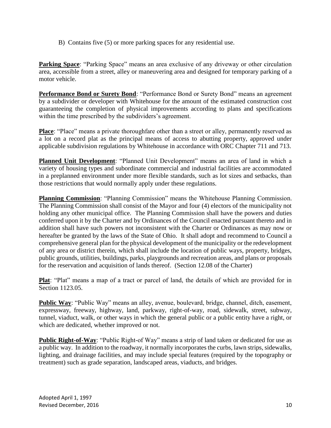B) Contains five (5) or more parking spaces for any residential use.

**Parking Space**: "Parking Space" means an area exclusive of any driveway or other circulation area, accessible from a street, alley or maneuvering area and designed for temporary parking of a motor vehicle.

**Performance Bond or Surety Bond**: "Performance Bond or Surety Bond" means an agreement by a subdivider or developer with Whitehouse for the amount of the estimated construction cost guaranteeing the completion of physical improvements according to plans and specifications within the time prescribed by the subdividers's agreement.

**Place**: "Place" means a private thoroughfare other than a street or alley, permanently reserved as a lot on a record plat as the principal means of access to abutting property, approved under applicable subdivision regulations by Whitehouse in accordance with ORC Chapter 711 and 713.

**Planned Unit Development**: "Planned Unit Development" means an area of land in which a variety of housing types and subordinate commercial and industrial facilities are accommodated in a preplanned environment under more flexible standards, such as lot sizes and setbacks, than those restrictions that would normally apply under these regulations.

**Planning Commission**: "Planning Commission" means the Whitehouse Planning Commission. The Planning Commission shall consist of the Mayor and four (4) electors of the municipality not holding any other municipal office. The Planning Commission shall have the powers and duties conferred upon it by the Charter and by Ordinances of the Council enacted pursuant thereto and in addition shall have such powers not inconsistent with the Charter or Ordinances as may now or hereafter be granted by the laws of the State of Ohio. It shall adopt and recommend to Council a comprehensive general plan for the physical development of the municipality or the redevelopment of any area or district therein, which shall include the location of public ways, property, bridges, public grounds, utilities, buildings, parks, playgrounds and recreation areas, and plans or proposals for the reservation and acquisition of lands thereof. (Section 12.08 of the Charter)

Plat: "Plat" means a map of a tract or parcel of land, the details of which are provided for in Section 1123.05.

**Public Way**: "Public Way" means an alley, avenue, boulevard, bridge, channel, ditch, easement, expressway, freeway, highway, land, parkway, right-of-way, road, sidewalk, street, subway, tunnel, viaduct, walk, or other ways in which the general public or a public entity have a right, or which are dedicated, whether improved or not.

**Public Right-of-Way**: "Public Right-of Way" means a strip of land taken or dedicated for use as a public way. In addition to the roadway, it normally incorporates the curbs, lawn strips, sidewalks, lighting, and drainage facilities, and may include special features (required by the topography or treatment) such as grade separation, landscaped areas, viaducts, and bridges.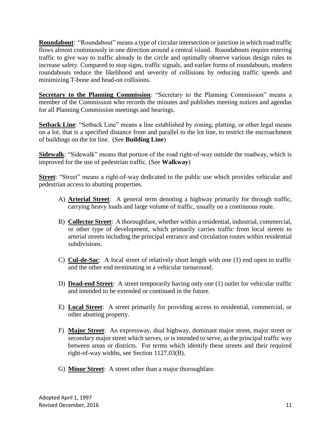**Roundabout**: "Roundabout" means a type of circular [intersection](https://en.wikipedia.org/wiki/Intersection_(road)) or junction in which road traffic flows almost continuously in one direction around a central island. Roundabouts require entering traffic to give way to traffic already in the circle and optimally observe various design rules to increase safety. Compared to stop signs, traffic signals, and earlier forms of roundabouts, modern roundabouts reduce the likelihood and severity of collisions by reducing traffic speeds and minimizing T-bone and head-on collisions.

**Secretary to the Planning Commission**: "Secretary to the Planning Commission" means a member of the Commission who records the minutes and publishes meeting notices and agendas for all Planning Commission meetings and hearings.

**Setback Line**: "Setback Line" means a line established by zoning, platting, or other legal means on a lot, that is a specified distance from and parallel to the lot line, to restrict the encroachment of buildings on the lot line. (See **Building Line**)

**Sidewalk**: "Sidewalk" means that portion of the road right-of-way outside the roadway, which is improved for the use of pedestrian traffic. (See **Walkway**)

**Street**: "Street" means a right-of-way dedicated to the public use which provides vehicular and pedestrian access to abutting properties.

- A) **Arterial Street**: A general term denoting a highway primarily for through traffic, carrying heavy loads and large volume of traffic, usually on a continuous route.
- B) **Collector Street**: A thoroughfare, whether within a residential, industrial, commercial, or other type of development, which primarily carries traffic from local streets to arterial streets including the principal entrance and circulation routes within residential subdivisions.
- C) **Cul-de-Sac**: A local street of relatively short length with one (1) end open to traffic and the other end terminating in a vehicular turnaround.
- D) **Dead-end Street**: A street temporarily having only one (1) outlet for vehicular traffic and intended to be extended or continued in the future.
- E) **Local Street**: A street primarily for providing access to residential, commercial, or other abutting property.
- F) **Major Street**: An expressway, dual highway, dominant major street, major street or secondary major street which serves, or is intended to serve, as the principal traffic way between areas or districts. For terms which identify these streets and their required right-of-way widths, see Section 1127.03(B).
- G) **Minor Street**: A street other than a major thoroughfare.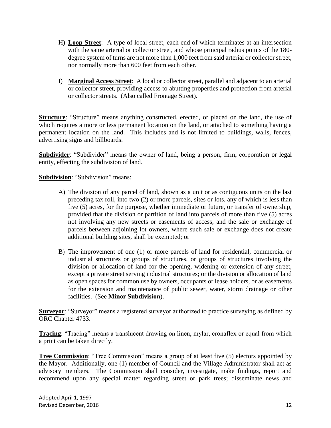- H) **Loop Street**: A type of local street, each end of which terminates at an intersection with the same arterial or collector street, and whose principal radius points of the 180 degree system of turns are not more than 1,000 feet from said arterial or collector street, nor normally more than 600 feet from each other.
- I) **Marginal Access Street**: A local or collector street, parallel and adjacent to an arterial or collector street, providing access to abutting properties and protection from arterial or collector streets. (Also called Frontage Street).

**Structure**: "Structure" means anything constructed, erected, or placed on the land, the use of which requires a more or less permanent location on the land, or attached to something having a permanent location on the land. This includes and is not limited to buildings, walls, fences, advertising signs and billboards.

**Subdivider:** "Subdivider" means the owner of land, being a person, firm, corporation or legal entity, effecting the subdivision of land.

**Subdivision**: "Subdivision" means:

- A) The division of any parcel of land, shown as a unit or as contiguous units on the last preceding tax roll, into two (2) or more parcels, sites or lots, any of which is less than five (5) acres, for the purpose, whether immediate or future, or transfer of ownership, provided that the division or partition of land into parcels of more than five (5) acres not involving any new streets or easements of access, and the sale or exchange of parcels between adjoining lot owners, where such sale or exchange does not create additional building sites, shall be exempted; or
- B) The improvement of one (1) or more parcels of land for residential, commercial or industrial structures or groups of structures, or groups of structures involving the division or allocation of land for the opening, widening or extension of any street, except a private street serving industrial structures; or the division or allocation of land as open spaces for common use by owners, occupants or lease holders, or as easements for the extension and maintenance of public sewer, water, storm drainage or other facilities. (See **Minor Subdivision**).

**Surveyor**: "Surveyor" means a registered surveyor authorized to practice surveying as defined by ORC Chapter 4733.

**Tracing**: "Tracing" means a translucent drawing on linen, mylar, cronaflex or equal from which a print can be taken directly.

**Tree Commission**: "Tree Commission" means a group of at least five (5) electors appointed by the Mayor. Additionally, one (1) member of Council and the Village Administrator shall act as advisory members. The Commission shall consider, investigate, make findings, report and recommend upon any special matter regarding street or park trees; disseminate news and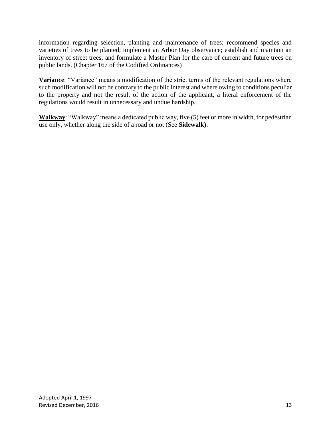information regarding selection, planting and maintenance of trees; recommend species and varieties of trees to be planted; implement an Arbor Day observance; establish and maintain an inventory of street trees; and formulate a Master Plan for the care of current and future trees on public lands. (Chapter 167 of the Codified Ordinances)

**Variance**: "Variance" means a modification of the strict terms of the relevant regulations where such modification will not be contrary to the public interest and where owing to conditions peculiar to the property and not the result of the action of the applicant, a literal enforcement of the regulations would result in unnecessary and undue hardship.

**Walkway**: "Walkway" means a dedicated public way, five (5) feet or more in width, for pedestrian use only, whether along the side of a road or not (See **Sidewalk).**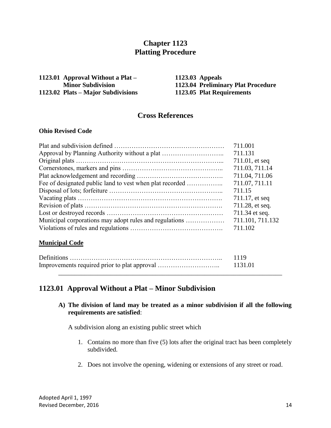## **Chapter 1123 Platting Procedure**

| 1123.01 Approval Without a Plat –  |
|------------------------------------|
| <b>Minor Subdivision</b>           |
| 1123.02 Plats – Major Subdivisions |

**1123.03 Appeals Minor Subdivision 1123.04 Preliminary Plat Procedure 1123.05 Plat Requirements** 

## **Cross References**

#### **Ohio Revised Code**

|                                                          | 711.001           |
|----------------------------------------------------------|-------------------|
|                                                          | 711.131           |
|                                                          | $711.01$ , et seq |
|                                                          | 711.03, 711.14    |
|                                                          | 711.04, 711.06    |
| Fee of designated public land to vest when plat recorded | 711.07, 711.11    |
|                                                          | 711.15            |
|                                                          | 711.17, et seq    |
|                                                          | 711.28, et seq.   |
|                                                          | 711.34 et seq.    |
| Municipal corporations may adopt rules and regulations   | 711.101, 711.132  |
|                                                          | 711.102           |

#### **Municipal Code**

| 1119 |
|------|
|      |
|      |

## **1123.01 Approval Without a Plat – Minor Subdivision**

**A) The division of land may be treated as a minor subdivision if all the following requirements are satisfied**:

A subdivision along an existing public street which

- 1. Contains no more than five (5) lots after the original tract has been completely subdivided.
- 2. Does not involve the opening, widening or extensions of any street or road.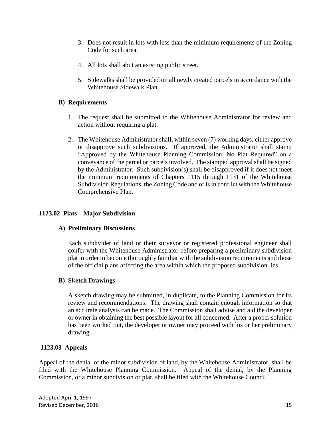- 3. Does not result in lots with less than the minimum requirements of the Zoning Code for such area.
- 4. All lots shall abut an existing public street.
- 5. Sidewalks shall be provided on all newly created parcels in accordance with the Whitehouse Sidewalk Plan.

#### **B) Requirements**

- 1. The request shall be submitted to the Whitehouse Administrator for review and action without requiring a plat.
- 2. The Whitehouse Administrator shall, within seven (7) working days, either approve or disapprove such subdivisions. If approved, the Administrator shall stamp "Approved by the Whitehouse Planning Commission, No Plat Required" on a conveyance of the parcel or parcels involved. The stamped approval shall be signed by the Administrator. Such subdivision(s) shall be disapproved if it does not meet the minimum requirements of Chapters 1115 through 1131 of the Whitehouse Subdivision Regulations, the Zoning Code and or is in conflict with the Whitehouse Comprehensive Plan.

#### **1123.02 Plats – Major Subdivision**

#### **A) Preliminary Discussions**

Each subdivider of land or their surveyor or registered professional engineer shall confer with the Whitehouse Administrator before preparing a preliminary subdivision plat in order to become thoroughly familiar with the subdivision requirements and those of the official plans affecting the area within which the proposed subdivision lies.

#### **B) Sketch Drawings**

A sketch drawing may be submitted, in duplicate, to the Planning Commission for its review and recommendations. The drawing shall contain enough information so that an accurate analysis can be made. The Commission shall advise and aid the developer or owner in obtaining the best possible layout for all concerned. After a proper solution has been worked out, the developer or owner may proceed with his or her preliminary drawing.

## **1123.03 Appeals**

Appeal of the denial of the minor subdivision of land, by the Whitehouse Administrator, shall be filed with the Whitehouse Planning Commission. Appeal of the denial, by the Planning Commission, or a minor subdivision or plat, shall be filed with the Whitehouse Council.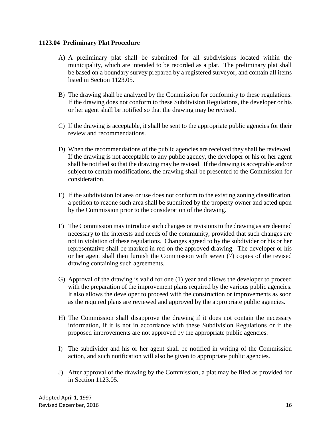#### **1123.04 Preliminary Plat Procedure**

- A) A preliminary plat shall be submitted for all subdivisions located within the municipality, which are intended to be recorded as a plat. The preliminary plat shall be based on a boundary survey prepared by a registered surveyor, and contain all items listed in Section 1123.05.
- B) The drawing shall be analyzed by the Commission for conformity to these regulations. If the drawing does not conform to these Subdivision Regulations, the developer or his or her agent shall be notified so that the drawing may be revised.
- C) If the drawing is acceptable, it shall be sent to the appropriate public agencies for their review and recommendations.
- D) When the recommendations of the public agencies are received they shall be reviewed. If the drawing is not acceptable to any public agency, the developer or his or her agent shall be notified so that the drawing may be revised. If the drawing is acceptable and/or subject to certain modifications, the drawing shall be presented to the Commission for consideration.
- E) If the subdivision lot area or use does not conform to the existing zoning classification, a petition to rezone such area shall be submitted by the property owner and acted upon by the Commission prior to the consideration of the drawing.
- F) The Commission may introduce such changes or revisions to the drawing as are deemed necessary to the interests and needs of the community, provided that such changes are not in violation of these regulations. Changes agreed to by the subdivider or his or her representative shall be marked in red on the approved drawing. The developer or his or her agent shall then furnish the Commission with seven (7) copies of the revised drawing containing such agreements.
- G) Approval of the drawing is valid for one (1) year and allows the developer to proceed with the preparation of the improvement plans required by the various public agencies. It also allows the developer to proceed with the construction or improvements as soon as the required plans are reviewed and approved by the appropriate public agencies.
- H) The Commission shall disapprove the drawing if it does not contain the necessary information, if it is not in accordance with these Subdivision Regulations or if the proposed improvements are not approved by the appropriate public agencies.
- I) The subdivider and his or her agent shall be notified in writing of the Commission action, and such notification will also be given to appropriate public agencies.
- J) After approval of the drawing by the Commission, a plat may be filed as provided for in Section 1123.05.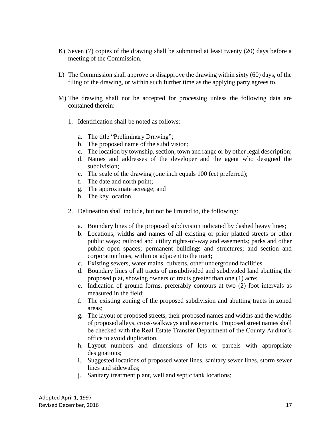- K) Seven (7) copies of the drawing shall be submitted at least twenty (20) days before a meeting of the Commission.
- L) The Commission shall approve or disapprove the drawing within sixty (60) days, of the filing of the drawing, or within such further time as the applying party agrees to.
- M) The drawing shall not be accepted for processing unless the following data are contained therein:
	- 1. Identification shall be noted as follows:
		- a. The title "Preliminary Drawing";
		- b. The proposed name of the subdivision;
		- c. The location by township, section, town and range or by other legal description;
		- d. Names and addresses of the developer and the agent who designed the subdivision;
		- e. The scale of the drawing (one inch equals 100 feet preferred);
		- f. The date and north point;
		- g. The approximate acreage; and
		- h. The key location.
	- 2. Delineation shall include, but not be limited to, the following:
		- a. Boundary lines of the proposed subdivision indicated by dashed heavy lines;
		- b. Locations, widths and names of all existing or prior platted streets or other public ways; railroad and utility rights-of-way and easements; parks and other public open spaces; permanent buildings and structures; and section and corporation lines, within or adjacent to the tract;
		- c. Existing sewers, water mains, culverts, other underground facilities
		- d. Boundary lines of all tracts of unsubdivided and subdivided land abutting the proposed plat, showing owners of tracts greater than one (1) acre;
		- e. Indication of ground forms, preferably contours at two (2) foot intervals as measured in the field;
		- f. The existing zoning of the proposed subdivision and abutting tracts in zoned areas;
		- g. The layout of proposed streets, their proposed names and widths and the widths of proposed alleys, cross-walkways and easements. Proposed street names shall be checked with the Real Estate Transfer Department of the County Auditor's office to avoid duplication.
		- h. Layout numbers and dimensions of lots or parcels with appropriate designations;
		- i. Suggested locations of proposed water lines, sanitary sewer lines, storm sewer lines and sidewalks;
		- j. Sanitary treatment plant, well and septic tank locations;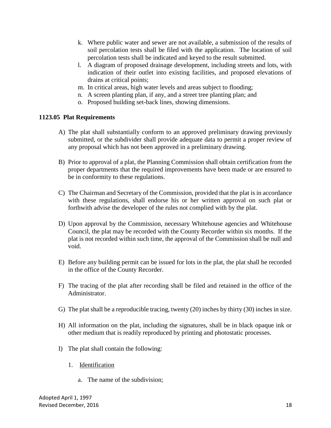- k. Where public water and sewer are not available, a submission of the results of soil percolation tests shall be filed with the application. The location of soil percolation tests shall be indicated and keyed to the result submitted.
- l. A diagram of proposed drainage development, including streets and lots, with indication of their outlet into existing facilities, and proposed elevations of drains at critical points;
- m. In critical areas, high water levels and areas subject to flooding;
- n. A screen planting plan, if any, and a street tree planting plan; and
- o. Proposed building set-back lines, showing dimensions.

#### **1123.05 Plat Requirements**

- A) The plat shall substantially conform to an approved preliminary drawing previously submitted, or the subdivider shall provide adequate data to permit a proper review of any proposal which has not been approved in a preliminary drawing.
- B) Prior to approval of a plat, the Planning Commission shall obtain certification from the proper departments that the required improvements have been made or are ensured to be in conformity to these regulations.
- C) The Chairman and Secretary of the Commission, provided that the plat is in accordance with these regulations, shall endorse his or her written approval on such plat or forthwith advise the developer of the rules not complied with by the plat.
- D) Upon approval by the Commission, necessary Whitehouse agencies and Whitehouse Council, the plat may be recorded with the County Recorder within six months. If the plat is not recorded within such time, the approval of the Commission shall be null and void.
- E) Before any building permit can be issued for lots in the plat, the plat shall be recorded in the office of the County Recorder.
- F) The tracing of the plat after recording shall be filed and retained in the office of the Administrator.
- G) The plat shall be a reproducible tracing, twenty (20) inches by thirty (30) inches in size.
- H) All information on the plat, including the signatures, shall be in black opaque ink or other medium that is readily reproduced by printing and photostatic processes.
- I) The plat shall contain the following:
	- 1. Identification
		- a. The name of the subdivision;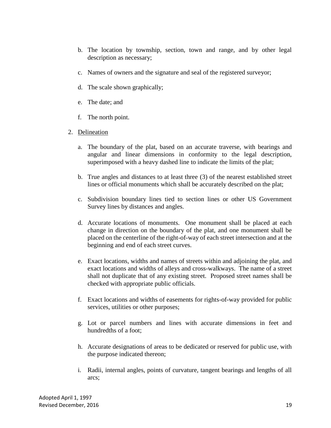- b. The location by township, section, town and range, and by other legal description as necessary;
- c. Names of owners and the signature and seal of the registered surveyor;
- d. The scale shown graphically;
- e. The date; and
- f. The north point.
- 2. Delineation
	- a. The boundary of the plat, based on an accurate traverse, with bearings and angular and linear dimensions in conformity to the legal description, superimposed with a heavy dashed line to indicate the limits of the plat;
	- b. True angles and distances to at least three (3) of the nearest established street lines or official monuments which shall be accurately described on the plat;
	- c. Subdivision boundary lines tied to section lines or other US Government Survey lines by distances and angles.
	- d. Accurate locations of monuments. One monument shall be placed at each change in direction on the boundary of the plat, and one monument shall be placed on the centerline of the right-of-way of each street intersection and at the beginning and end of each street curves.
	- e. Exact locations, widths and names of streets within and adjoining the plat, and exact locations and widths of alleys and cross-walkways. The name of a street shall not duplicate that of any existing street. Proposed street names shall be checked with appropriate public officials.
	- f. Exact locations and widths of easements for rights-of-way provided for public services, utilities or other purposes;
	- g. Lot or parcel numbers and lines with accurate dimensions in feet and hundredths of a foot;
	- h. Accurate designations of areas to be dedicated or reserved for public use, with the purpose indicated thereon;
	- i. Radii, internal angles, points of curvature, tangent bearings and lengths of all arcs;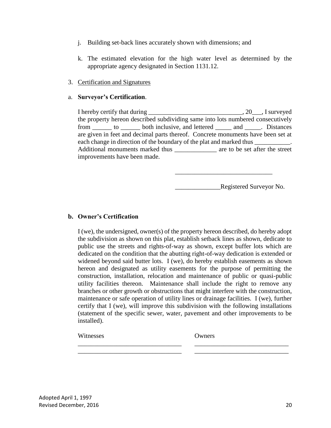- j. Building set-back lines accurately shown with dimensions; and
- k. The estimated elevation for the high water level as determined by the appropriate agency designated in Section 1131.12.

#### 3. Certification and Signatures

#### a. **Surveyor's Certification**.

I hereby certify that during \_\_\_\_\_\_\_\_\_\_\_\_\_\_\_\_\_\_\_\_\_\_\_\_\_\_\_\_\_\_\_\_, 20\_\_\_, I surveyed the property hereon described subdividing same into lots numbered consecutively from \_\_\_\_\_\_ to \_\_\_\_\_\_ both inclusive, and lettered \_\_\_\_\_ and \_\_\_\_\_. Distances are given in feet and decimal parts thereof. Concrete monuments have been set at each change in direction of the boundary of the plat and marked thus \_\_\_\_\_\_\_\_\_\_\_. Additional monuments marked thus \_\_\_\_\_\_\_\_\_\_\_\_\_\_ are to be set after the street improvements have been made.

\_\_\_\_\_\_\_\_\_\_\_\_\_\_Registered Surveyor No.

\_\_\_\_\_\_\_\_\_\_\_\_\_\_\_\_\_\_\_\_\_\_\_\_\_\_\_\_\_\_

#### **b. Owner's Certification**

I (we), the undersigned, owner(s) of the property hereon described, do hereby adopt the subdivision as shown on this plat, establish setback lines as shown, dedicate to public use the streets and rights-of-way as shown, except buffer lots which are dedicated on the condition that the abutting right-of-way dedication is extended or widened beyond said butter lots. I (we), do hereby establish easements as shown hereon and designated as utility easements for the purpose of permitting the construction, installation, relocation and maintenance of public or quasi-public utility facilities thereon. Maintenance shall include the right to remove any branches or other growth or obstructions that might interfere with the construction, maintenance or safe operation of utility lines or drainage facilities. I (we), further certify that I (we), will improve this subdivision with the following installations (statement of the specific sewer, water, pavement and other improvements to be installed).

\_\_\_\_\_\_\_\_\_\_\_\_\_\_\_\_\_\_\_\_\_\_\_\_\_\_\_\_\_\_\_\_ \_\_\_\_\_\_\_\_\_\_\_\_\_\_\_\_\_\_\_\_\_\_\_\_\_\_\_\_\_ \_\_\_\_\_\_\_\_\_\_\_\_\_\_\_\_\_\_\_\_\_\_\_\_\_\_\_\_\_\_\_\_ \_\_\_\_\_\_\_\_\_\_\_\_\_\_\_\_\_\_\_\_\_\_\_\_\_\_\_\_\_

Witnesses Owners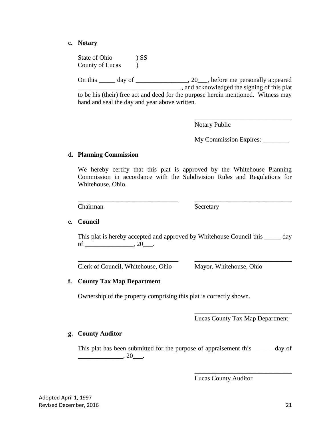#### **c. Notary**

State of Ohio ) SS County of Lucas )

On this \_\_\_\_\_ day of \_\_\_\_\_\_\_\_\_\_\_\_\_\_, 20\_\_\_, before me personally appeared  $\Box$ , and acknowledged the signing of this plat to be his (their) free act and deed for the purpose herein mentioned. Witness may hand and seal the day and year above written.

Notary Public

My Commission Expires: \_\_\_\_\_\_\_\_

\_\_\_\_\_\_\_\_\_\_\_\_\_\_\_\_\_\_\_\_\_\_\_\_\_\_\_\_\_\_

#### **d. Planning Commission**

We hereby certify that this plat is approved by the Whitehouse Planning Commission in accordance with the Subdivision Rules and Regulations for Whitehouse, Ohio.

\_\_\_\_\_\_\_\_\_\_\_\_\_\_\_\_\_\_\_\_\_\_\_\_\_\_\_\_\_\_\_ \_\_\_\_\_\_\_\_\_\_\_\_\_\_\_\_\_\_\_\_\_\_\_\_\_\_\_\_\_\_

Chairman Secretary

#### **e. Council**

This plat is hereby accepted and approved by Whitehouse Council this \_\_\_\_\_ day of \_\_\_\_\_\_\_\_\_\_\_\_\_\_\_\_\_, 20\_\_\_\_.

\_\_\_\_\_\_\_\_\_\_\_\_\_\_\_\_\_\_\_\_\_\_\_\_\_\_\_\_\_\_\_ \_\_\_\_\_\_\_\_\_\_\_\_\_\_\_\_\_\_\_\_\_\_\_\_\_\_\_\_\_\_

Clerk of Council, Whitehouse, Ohio Mayor, Whitehouse, Ohio

#### **f. County Tax Map Department**

Ownership of the property comprising this plat is correctly shown.

\_\_\_\_\_\_\_\_\_\_\_\_\_\_\_\_\_\_\_\_\_\_\_\_\_\_\_\_\_\_ Lucas County Tax Map Department

\_\_\_\_\_\_\_\_\_\_\_\_\_\_\_\_\_\_\_\_\_\_\_\_\_\_\_\_\_\_

#### **g. County Auditor**

This plat has been submitted for the purpose of appraisement this \_\_\_\_\_\_\_ day of  $\overline{\phantom{20}}$ , 20 $\overline{\phantom{20}}$ .

Lucas County Auditor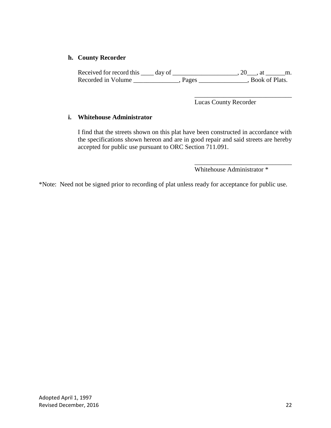#### **h. County Recorder**

Received for record this  $\_\_\_$  day of  $\_\_\_\_\_\_\_\_\_$ . 20, at  $\_\_\_\_\$ n. Recorded in Volume \_\_\_\_\_\_\_\_\_\_\_\_\_\_, Pages \_\_\_\_\_\_\_\_\_\_\_\_\_\_, Book of Plats.

Lucas County Recorder

\_\_\_\_\_\_\_\_\_\_\_\_\_\_\_\_\_\_\_\_\_\_\_\_\_\_\_\_\_\_

\_\_\_\_\_\_\_\_\_\_\_\_\_\_\_\_\_\_\_\_\_\_\_\_\_\_\_\_\_\_

#### **i. Whitehouse Administrator**

I find that the streets shown on this plat have been constructed in accordance with the specifications shown hereon and are in good repair and said streets are hereby accepted for public use pursuant to ORC Section 711.091.

Whitehouse Administrator \*

\*Note: Need not be signed prior to recording of plat unless ready for acceptance for public use.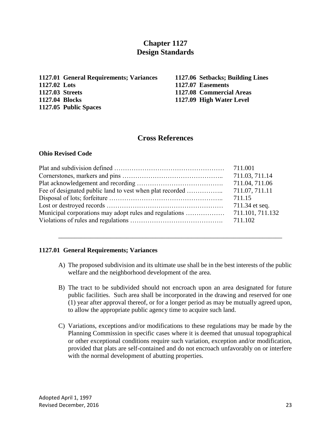## **Chapter 1127 Design Standards**

**1127.01 General Requirements; Variances 1127.06 Setbacks; Building Lines 1127.02 Lots 1127.07 Easements 1127.03 Streets 1127.08 Commercial Areas 1127.04 Blocks 1127.09 High Water Level 1127.05 Public Spaces**

### **Cross References**

#### **Ohio Revised Code**

| 711.04, 711.06   |
|------------------|
| 711.07, 711.11   |
| 711.15           |
| 711.34 et seq.   |
| 711.101, 711.132 |
|                  |

#### **1127.01 General Requirements; Variances**

A) The proposed subdivision and its ultimate use shall be in the best interests of the public welfare and the neighborhood development of the area.

\_\_\_\_\_\_\_\_\_\_\_\_\_\_\_\_\_\_\_\_\_\_\_\_\_\_\_\_\_\_\_\_\_\_\_\_\_\_\_\_\_\_\_\_\_\_\_\_\_\_\_\_\_\_\_\_\_\_\_\_\_\_\_\_\_\_\_\_\_

- B) The tract to be subdivided should not encroach upon an area designated for future public facilities. Such area shall be incorporated in the drawing and reserved for one (1) year after approval thereof, or for a longer period as may be mutually agreed upon, to allow the appropriate public agency time to acquire such land.
- C) Variations, exceptions and/or modifications to these regulations may be made by the Planning Commission in specific cases where it is deemed that unusual topographical or other exceptional conditions require such variation, exception and/or modification, provided that plats are self-contained and do not encroach unfavorably on or interfere with the normal development of abutting properties.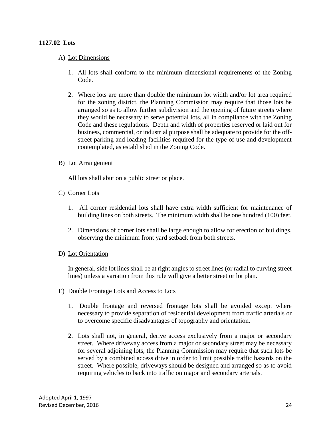#### **1127.02 Lots**

#### A) Lot Dimensions

- 1. All lots shall conform to the minimum dimensional requirements of the Zoning Code.
- 2. Where lots are more than double the minimum lot width and/or lot area required for the zoning district, the Planning Commission may require that those lots be arranged so as to allow further subdivision and the opening of future streets where they would be necessary to serve potential lots, all in compliance with the Zoning Code and these regulations. Depth and width of properties reserved or laid out for business, commercial, or industrial purpose shall be adequate to provide for the offstreet parking and loading facilities required for the type of use and development contemplated, as established in the Zoning Code.

#### B) Lot Arrangement

All lots shall abut on a public street or place.

#### C) Corner Lots

- 1. All corner residential lots shall have extra width sufficient for maintenance of building lines on both streets. The minimum width shall be one hundred (100) feet.
- 2. Dimensions of corner lots shall be large enough to allow for erection of buildings, observing the minimum front yard setback from both streets.

#### D) Lot Orientation

In general, side lot lines shall be at right angles to street lines (or radial to curving street lines) unless a variation from this rule will give a better street or lot plan.

- E) Double Frontage Lots and Access to Lots
	- 1. Double frontage and reversed frontage lots shall be avoided except where necessary to provide separation of residential development from traffic arterials or to overcome specific disadvantages of topography and orientation.
	- 2. Lots shall not, in general, derive access exclusively from a major or secondary street. Where driveway access from a major or secondary street may be necessary for several adjoining lots, the Planning Commission may require that such lots be served by a combined access drive in order to limit possible traffic hazards on the street. Where possible, driveways should be designed and arranged so as to avoid requiring vehicles to back into traffic on major and secondary arterials.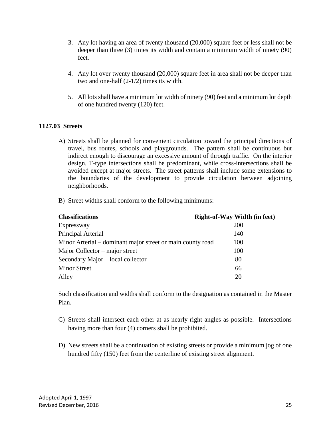- 3. Any lot having an area of twenty thousand (20,000) square feet or less shall not be deeper than three (3) times its width and contain a minimum width of ninety (90) feet.
- 4. Any lot over twenty thousand (20,000) square feet in area shall not be deeper than two and one-half (2-1/2) times its width.
- 5. All lots shall have a minimum lot width of ninety (90) feet and a minimum lot depth of one hundred twenty (120) feet.

#### **1127.03 Streets**

- A) Streets shall be planned for convenient circulation toward the principal directions of travel, bus routes, schools and playgrounds. The pattern shall be continuous but indirect enough to discourage an excessive amount of through traffic. On the interior design, T-type intersections shall be predominant, while cross-intersections shall be avoided except at major streets. The street patterns shall include some extensions to the boundaries of the development to provide circulation between adjoining neighborhoods.
- B) Street widths shall conform to the following minimums:

| <b>Classifications</b>                                     | <b>Right-of-Way Width (in feet)</b> |
|------------------------------------------------------------|-------------------------------------|
| Expressway                                                 | <b>200</b>                          |
| Principal Arterial                                         | 140                                 |
| Minor Arterial – dominant major street or main county road | 100                                 |
| Major Collector – major street                             | 100                                 |
| Secondary Major – local collector                          | 80                                  |
| <b>Minor Street</b>                                        | 66                                  |
| Alley                                                      | 20                                  |

Such classification and widths shall conform to the designation as contained in the Master Plan.

- C) Streets shall intersect each other at as nearly right angles as possible. Intersections having more than four (4) corners shall be prohibited.
- D) New streets shall be a continuation of existing streets or provide a minimum jog of one hundred fifty (150) feet from the centerline of existing street alignment.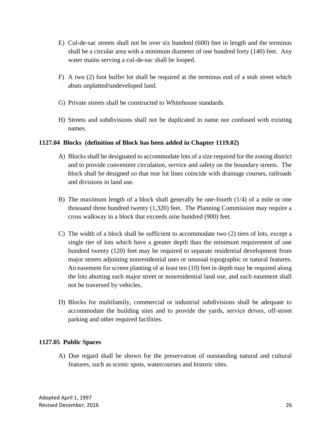- E) Cul-de-sac streets shall not be over six hundred (600) feet in length and the terminus shall be a circular area with a minimum diameter of one hundred forty (140) feet. Any water mains serving a cul-de-sac shall be looped.
- F) A two (2) foot buffer lot shall be required at the terminus end of a stub street which abuts unplatted/undeveloped land.
- G) Private streets shall be constructed to Whitehouse standards.
- H) Streets and subdivisions shall not be duplicated in name nor confused with existing names.

#### **1127.04 Blocks (definition of Block has been added in Chapter 1119.02)**

- A) Blocks shall be designated to accommodate lots of a size required for the zoning district and to provide convenient circulation, service and safety on the boundary streets. The block shall be designed so that rear lot lines coincide with drainage courses, railroads and divisions in land use.
- B) The maximum length of a block shall generally be one-fourth (1/4) of a mile or one thousand three hundred twenty (1,320) feet. The Planning Commission may require a cross walkway in a block that exceeds nine hundred (900) feet.
- C) The width of a block shall be sufficient to accommodate two (2) tiers of lots, except a single tier of lots which have a greater depth than the minimum requirement of one hundred twenty (120) feet may be required to separate residential development from major streets adjoining nonresidential uses or unusual topographic or natural features. An easement for screen planting of at least ten (10) feet in depth may be required along the lots abutting such major street or nonresidential land use, and such easement shall not be traversed by vehicles.
- D) Blocks for multifamily, commercial or industrial subdivisions shall be adequate to accommodate the building sites and to provide the yards, service drives, off-street parking and other required facilities.

## **1127.05 Public Spaces**

A) Due regard shall be shown for the preservation of outstanding natural and cultural features, such as scenic spots, watercourses and historic sites.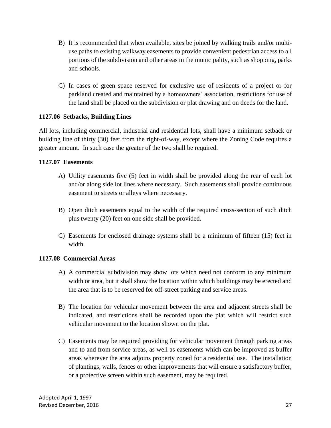- B) It is recommended that when available, sites be joined by walking trails and/or multiuse paths to existing walkway easements to provide convenient pedestrian access to all portions of the subdivision and other areas in the municipality, such as shopping, parks and schools.
- C) In cases of green space reserved for exclusive use of residents of a project or for parkland created and maintained by a homeowners' association, restrictions for use of the land shall be placed on the subdivision or plat drawing and on deeds for the land.

#### **1127.06 Setbacks, Building Lines**

All lots, including commercial, industrial and residential lots, shall have a minimum setback or building line of thirty (30) feet from the right-of-way, except where the Zoning Code requires a greater amount. In such case the greater of the two shall be required.

#### **1127.07 Easements**

- A) Utility easements five (5) feet in width shall be provided along the rear of each lot and/or along side lot lines where necessary. Such easements shall provide continuous easement to streets or alleys where necessary.
- B) Open ditch easements equal to the width of the required cross-section of such ditch plus twenty (20) feet on one side shall be provided.
- C) Easements for enclosed drainage systems shall be a minimum of fifteen (15) feet in width.

## **1127.08 Commercial Areas**

- A) A commercial subdivision may show lots which need not conform to any minimum width or area, but it shall show the location within which buildings may be erected and the area that is to be reserved for off-street parking and service areas.
- B) The location for vehicular movement between the area and adjacent streets shall be indicated, and restrictions shall be recorded upon the plat which will restrict such vehicular movement to the location shown on the plat.
- C) Easements may be required providing for vehicular movement through parking areas and to and from service areas, as well as easements which can be improved as buffer areas wherever the area adjoins property zoned for a residential use. The installation of plantings, walls, fences or other improvements that will ensure a satisfactory buffer, or a protective screen within such easement, may be required.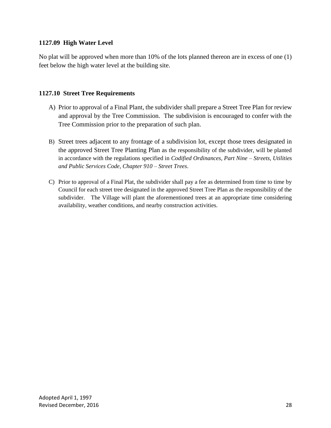#### **1127.09 High Water Level**

No plat will be approved when more than 10% of the lots planned thereon are in excess of one (1) feet below the high water level at the building site.

#### **1127.10 Street Tree Requirements**

- A) Prior to approval of a Final Plant, the subdivider shall prepare a Street Tree Plan for review and approval by the Tree Commission. The subdivision is encouraged to confer with the Tree Commission prior to the preparation of such plan.
- B) Street trees adjacent to any frontage of a subdivision lot, except those trees designated in the approved Street Tree Planting Plan as the responsibility of the subdivider, will be planted in accordance with the regulations specified in *Codified Ordinances, Part Nine – Streets, Utilities and Public Services Code, Chapter 910 – Street Trees*.
- C) Prior to approval of a Final Plat, the subdivider shall pay a fee as determined from time to time by Council for each street tree designated in the approved Street Tree Plan as the responsibility of the subdivider. The Village will plant the aforementioned trees at an appropriate time considering availability, weather conditions, and nearby construction activities.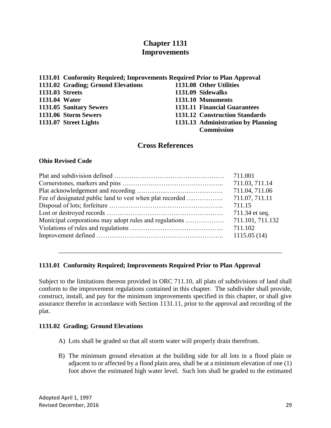## **Chapter 1131 Improvements**

|                        | 1131.01 Conformity Required; Improvements Required Prior to Plan Approval |                                     |
|------------------------|---------------------------------------------------------------------------|-------------------------------------|
|                        | 1131.02 Grading; Ground Elevations                                        | 1131.08 Other Utilities             |
| <b>1131.03 Streets</b> |                                                                           | 1131.09 Sidewalks                   |
| 1131.04 Water          |                                                                           | 1131.10 Monuments                   |
|                        | 1131.05 Sanitary Sewers                                                   | <b>1131.11 Financial Guarantees</b> |
|                        | 1131.06 Storm Sewers                                                      | 1131.12 Construction Standards      |
|                        | 1131.07 Street Lights                                                     | 1131.13 Administration by Planning  |
|                        |                                                                           | <b>Commission</b>                   |

#### **Cross References**

#### **Ohio Revised Code**

|                                                        | 711.03, 711.14   |
|--------------------------------------------------------|------------------|
|                                                        | 711.04, 711.06   |
|                                                        | 711.07, 711.11   |
|                                                        | 711.15           |
|                                                        | 711.34 et seq.   |
| Municipal corporations may adopt rules and regulations | 711.101, 711.132 |
|                                                        | 711.102          |
|                                                        |                  |
|                                                        |                  |

#### **1131.01 Conformity Required; Improvements Required Prior to Plan Approval**

Subject to the limitations thereon provided in ORC 711.10, all plats of subdivisions of land shall conform to the improvement regulations contained in this chapter. The subdivider shall provide, construct, install, and pay for the minimum improvements specified in this chapter, or shall give assurance therefor in accordance with Section 1131.11, prior to the approval and recording of the plat.

\_\_\_\_\_\_\_\_\_\_\_\_\_\_\_\_\_\_\_\_\_\_\_\_\_\_\_\_\_\_\_\_\_\_\_\_\_\_\_\_\_\_\_\_\_\_\_\_\_\_\_\_\_\_\_\_\_\_\_\_\_\_\_\_\_\_\_\_\_

#### **1131.02 Grading; Ground Elevations**

- A) Lots shall be graded so that all storm water will properly drain therefrom.
- B) The minimum ground elevation at the building side for all lots in a flood plain or adjacent to or affected by a flood plain area, shall be at a minimum elevation of one (1) foot above the estimated high water level. Such lots shall be graded to the estimated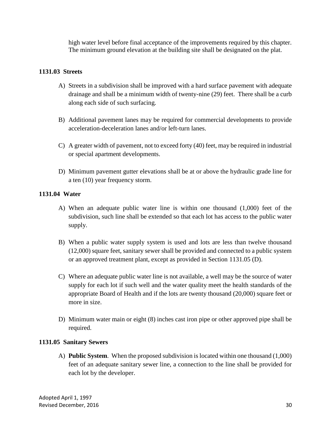high water level before final acceptance of the improvements required by this chapter. The minimum ground elevation at the building site shall be designated on the plat.

#### **1131.03 Streets**

- A) Streets in a subdivision shall be improved with a hard surface pavement with adequate drainage and shall be a minimum width of twenty-nine (29) feet. There shall be a curb along each side of such surfacing.
- B) Additional pavement lanes may be required for commercial developments to provide acceleration-deceleration lanes and/or left-turn lanes.
- C) A greater width of pavement, not to exceed forty (40) feet, may be required in industrial or special apartment developments.
- D) Minimum pavement gutter elevations shall be at or above the hydraulic grade line for a ten (10) year frequency storm.

#### **1131.04 Water**

- A) When an adequate public water line is within one thousand (1,000) feet of the subdivision, such line shall be extended so that each lot has access to the public water supply.
- B) When a public water supply system is used and lots are less than twelve thousand (12,000) square feet, sanitary sewer shall be provided and connected to a public system or an approved treatment plant, except as provided in Section 1131.05 (D).
- C) Where an adequate public water line is not available, a well may be the source of water supply for each lot if such well and the water quality meet the health standards of the appropriate Board of Health and if the lots are twenty thousand (20,000) square feet or more in size.
- D) Minimum water main or eight (8) inches cast iron pipe or other approved pipe shall be required.

## **1131.05 Sanitary Sewers**

A) **Public System**. When the proposed subdivision is located within one thousand (1,000) feet of an adequate sanitary sewer line, a connection to the line shall be provided for each lot by the developer.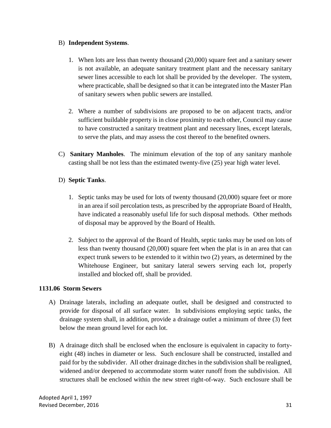#### B) **Independent Systems**.

- 1. When lots are less than twenty thousand (20,000) square feet and a sanitary sewer is not available, an adequate sanitary treatment plant and the necessary sanitary sewer lines accessible to each lot shall be provided by the developer. The system, where practicable, shall be designed so that it can be integrated into the Master Plan of sanitary sewers when public sewers are installed.
- 2. Where a number of subdivisions are proposed to be on adjacent tracts, and/or sufficient buildable property is in close proximity to each other, Council may cause to have constructed a sanitary treatment plant and necessary lines, except laterals, to serve the plats, and may assess the cost thereof to the benefited owners.
- C) **Sanitary Manholes**. The minimum elevation of the top of any sanitary manhole casting shall be not less than the estimated twenty-five (25) year high water level.

## D) **Septic Tanks**.

- 1. Septic tanks may be used for lots of twenty thousand (20,000) square feet or more in an area if soil percolation tests, as prescribed by the appropriate Board of Health, have indicated a reasonably useful life for such disposal methods. Other methods of disposal may be approved by the Board of Health.
- 2. Subject to the approval of the Board of Health, septic tanks may be used on lots of less than twenty thousand (20,000) square feet when the plat is in an area that can expect trunk sewers to be extended to it within two (2) years, as determined by the Whitehouse Engineer, but sanitary lateral sewers serving each lot, properly installed and blocked off, shall be provided.

## **1131.06 Storm Sewers**

- A) Drainage laterals, including an adequate outlet, shall be designed and constructed to provide for disposal of all surface water. In subdivisions employing septic tanks, the drainage system shall, in addition, provide a drainage outlet a minimum of three (3) feet below the mean ground level for each lot.
- B) A drainage ditch shall be enclosed when the enclosure is equivalent in capacity to fortyeight (48) inches in diameter or less. Such enclosure shall be constructed, installed and paid for by the subdivider. All other drainage ditches in the subdivision shall be realigned, widened and/or deepened to accommodate storm water runoff from the subdivision. All structures shall be enclosed within the new street right-of-way. Such enclosure shall be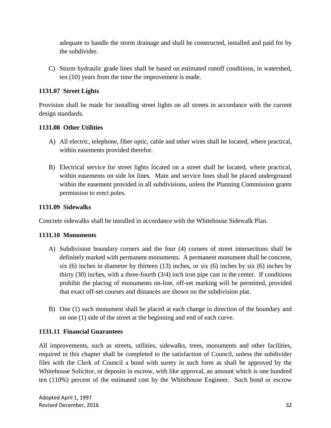adequate to handle the storm drainage and shall be constructed, installed and paid for by the subdivider.

C) Storm hydraulic grade lines shall be based on estimated runoff conditions, in watershed, ten (10) years from the time the improvement is made.

## **1131.07 Street Lights**

Provision shall be made for installing street lights on all streets in accordance with the current design standards.

## **1131.08 Other Utilities**

- A) All electric, telephone, fiber optic, cable and other wires shall be located, where practical, within easements provided therefor.
- B) Electrical service for street lights located on a street shall be located, where practical, within easements on side lot lines. Main and service lines shall be placed underground within the easement provided in all subdivisions, unless the Planning Commission grants permission to erect poles.

## **1131.09 Sidewalks**

Concrete sidewalks shall be installed in accordance with the Whitehouse Sidewalk Plan.

## **1131.10 Monuments**

- A) Subdivision boundary corners and the four (4) corners of street intersections shall be definitely marked with permanent monuments. A permanent monument shall be concrete, six (6) inches in diameter by thirteen (13) inches, or six (6) inches by six (6) inches by thirty  $(30)$  inches, with a three-fourth  $(3/4)$  inch iron pipe cast in the center. If conditions prohibit the placing of monuments on-line, off-set marking will be permitted, provided that exact off-set courses and distances are shown on the subdivision plat.
- B) One (1) such monument shall be placed at each change in direction of the boundary and on one (1) side of the street at the beginning and end of each curve.

## **1131.11 Financial Guarantees**

All improvements, such as streets, utilities, sidewalks, trees, monuments and other facilities, required in this chapter shall be completed to the satisfaction of Council, unless the subdivider files with the Clerk of Council a bond with surety in such form as shall be approved by the Whitehouse Solicitor, or deposits in escrow, with like approval, an amount which is one hundred ten (110%) percent of the estimated cost by the Whitehouse Engineer. Such bond or escrow